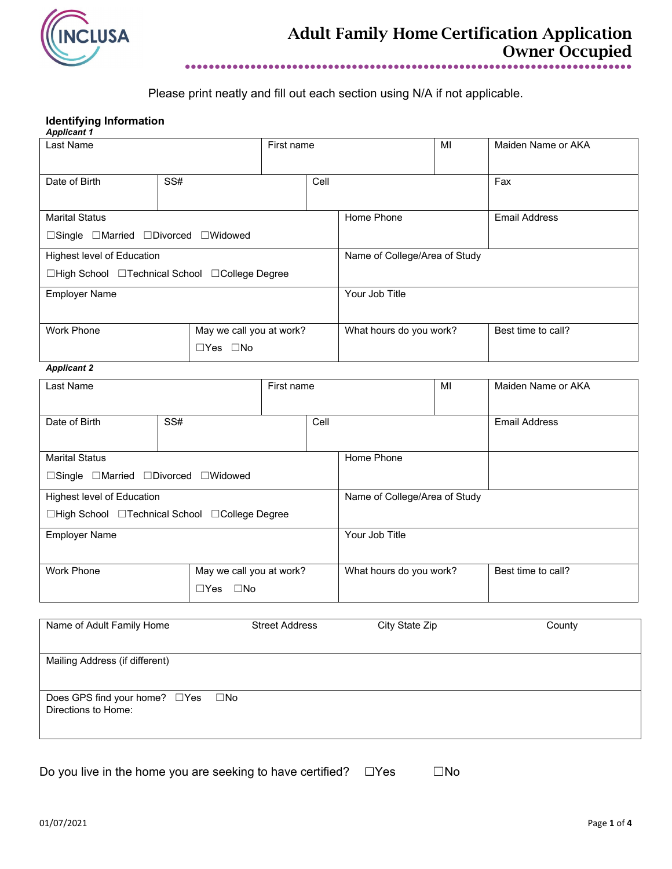

Please print neatly and fill out each section using N/A if not applicable.

### **Identifying Information**

| <b>Applicant 1</b>                             |                      |                          |      |                               |    |                      |
|------------------------------------------------|----------------------|--------------------------|------|-------------------------------|----|----------------------|
| Last Name                                      |                      | First name               |      |                               | MI | Maiden Name or AKA   |
|                                                |                      |                          |      |                               |    |                      |
| Date of Birth                                  | SS#                  |                          | Cell |                               |    | Fax                  |
|                                                |                      |                          |      |                               |    |                      |
|                                                |                      |                          |      |                               |    |                      |
| <b>Marital Status</b>                          |                      |                          |      | Home Phone                    |    | <b>Email Address</b> |
| □Single □Married □Divorced □Widowed            |                      |                          |      |                               |    |                      |
| Highest level of Education                     |                      |                          |      | Name of College/Area of Study |    |                      |
| □High School □Technical School □College Degree |                      |                          |      |                               |    |                      |
| <b>Employer Name</b>                           |                      |                          |      | Your Job Title                |    |                      |
|                                                |                      |                          |      |                               |    |                      |
| <b>Work Phone</b>                              |                      | May we call you at work? |      | What hours do you work?       |    | Best time to call?   |
|                                                | $\Box$ Yes $\Box$ No |                          |      |                               |    |                      |
| <b>Applicant 2</b>                             |                      |                          |      |                               |    |                      |

| Last Name                                                                    |                                                     | First name |                               |  | MI                 | Maiden Name or AKA   |
|------------------------------------------------------------------------------|-----------------------------------------------------|------------|-------------------------------|--|--------------------|----------------------|
| Date of Birth                                                                | SS#                                                 |            | Cell                          |  |                    | <b>Email Address</b> |
| <b>Marital Status</b><br>□Single □Married □Divorced □Widowed                 |                                                     |            | Home Phone                    |  |                    |                      |
| Highest level of Education<br>□High School □Technical School □College Degree |                                                     |            | Name of College/Area of Study |  |                    |                      |
| <b>Employer Name</b>                                                         |                                                     |            | Your Job Title                |  |                    |                      |
| <b>Work Phone</b>                                                            | May we call you at work?<br>$\Box$ No<br>$\Box$ Yes |            | What hours do you work?       |  | Best time to call? |                      |

| Name of Adult Family Home                                | <b>Street Address</b> | City State Zip | County |
|----------------------------------------------------------|-----------------------|----------------|--------|
| Mailing Address (if different)                           |                       |                |        |
| Does GPS find your home? □Yes □No<br>Directions to Home: |                       |                |        |

Do you live in the home you are seeking to have certified?  $□Yes$   $□No$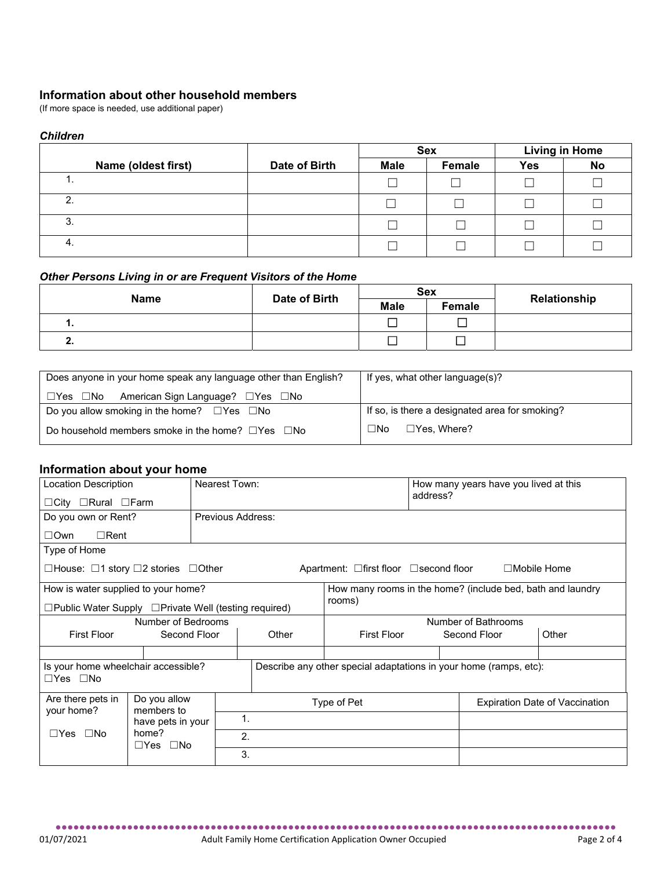# **Information about other household members** (If more space is needed, use additional paper)

## *Children*

|                     |               | <b>Sex</b>  |        | <b>Living in Home</b> |           |
|---------------------|---------------|-------------|--------|-----------------------|-----------|
| Name (oldest first) | Date of Birth | <b>Male</b> | Female | <b>Yes</b>            | <b>No</b> |
| . .                 |               |             |        |                       |           |
| <sup>n</sup>        |               |             |        |                       |           |
| ົ<br>ა.             |               |             |        |                       |           |
| 4.                  |               |             |        |                       |           |

### *Other Persons Living in or are Frequent Visitors of the Home*

| <b>Name</b> | Date of Birth |             | <b>Sex</b> | Relationship |
|-------------|---------------|-------------|------------|--------------|
|             |               | <b>Male</b> | Female     |              |
| . .         |               |             |            |              |
| Æ.,         |               | ─           |            |              |

| Does anyone in your home speak any language other than English?      | If yes, what other language(s)?                |  |  |
|----------------------------------------------------------------------|------------------------------------------------|--|--|
| American Sign Language? $\Box$ Yes $\Box$ No<br>$\Box$ Yes $\Box$ No |                                                |  |  |
| Do you allow smoking in the home? $\square$ Yes $\square$ No         | If so, is there a designated area for smoking? |  |  |
| Do household members smoke in the home? $\square$ Yes $\square$ No   | $\square$ No<br>$\Box$ Yes. Where?             |  |  |

# **Information about your home**

| <b>Location Description</b>                                                                          |              | Nearest Town:     |                                                                   |                                                            | address?     | How many years have you lived at this |       |
|------------------------------------------------------------------------------------------------------|--------------|-------------------|-------------------------------------------------------------------|------------------------------------------------------------|--------------|---------------------------------------|-------|
| $\Box$ City $\Box$ Rural $\Box$ Farm                                                                 |              |                   |                                                                   |                                                            |              |                                       |       |
| Do you own or Rent?                                                                                  |              | Previous Address: |                                                                   |                                                            |              |                                       |       |
| $\Box$ Rent<br>$\square$ Own                                                                         |              |                   |                                                                   |                                                            |              |                                       |       |
| Type of Home                                                                                         |              |                   |                                                                   |                                                            |              |                                       |       |
| □House: □1 story □2 stories □Other                                                                   |              |                   |                                                                   | Apartment: $\Box$ first floor $\Box$ second floor          |              | $\Box$ Mobile Home                    |       |
| How is water supplied to your home?                                                                  |              |                   |                                                                   | How many rooms in the home? (include bed, bath and laundry |              |                                       |       |
| □Public Water Supply □Private Well (testing required)                                                |              |                   |                                                                   | rooms)                                                     |              |                                       |       |
| Number of Bedrooms                                                                                   |              |                   | Number of Bathrooms                                               |                                                            |              |                                       |       |
| <b>First Floor</b>                                                                                   | Second Floor | Other             |                                                                   | <b>First Floor</b>                                         | Second Floor |                                       | Other |
|                                                                                                      |              |                   |                                                                   |                                                            |              |                                       |       |
| Is your home wheelchair accessible?                                                                  |              |                   | Describe any other special adaptations in your home (ramps, etc): |                                                            |              |                                       |       |
| $\Box$ Yes $\Box$ No                                                                                 |              |                   |                                                                   |                                                            |              |                                       |       |
| Do you allow<br>Are there pets in<br>members to                                                      |              |                   | Type of Pet<br><b>Expiration Date of Vaccination</b>              |                                                            |              |                                       |       |
| your home?<br>1.<br>have pets in your<br>home?<br>$\Box$ Yes $\Box$ No<br>2.<br>$\Box$ Yes $\Box$ No |              |                   |                                                                   |                                                            |              |                                       |       |
|                                                                                                      |              |                   |                                                                   |                                                            |              |                                       |       |
|                                                                                                      |              | 3.                |                                                                   |                                                            |              |                                       |       |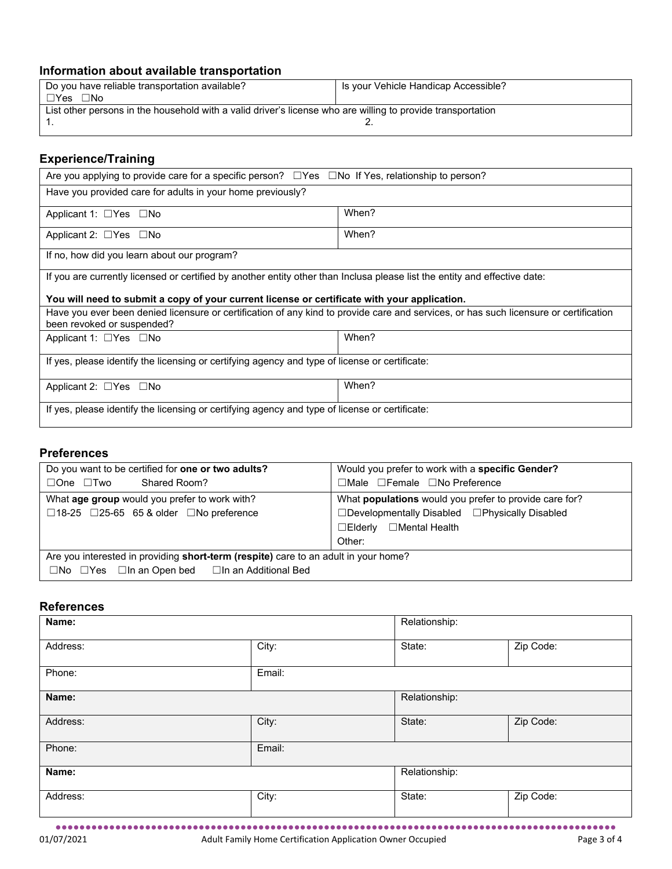# **Information about available transportation**

| Do you have reliable transportation available?                                                              | Is your Vehicle Handicap Accessible? |  |  |  |
|-------------------------------------------------------------------------------------------------------------|--------------------------------------|--|--|--|
| $\Box Y$ es $\Box$ No                                                                                       |                                      |  |  |  |
| List other persons in the household with a valid driver's license who are willing to provide transportation |                                      |  |  |  |
|                                                                                                             |                                      |  |  |  |
|                                                                                                             |                                      |  |  |  |

# **Experience/Training**

| Are you applying to provide care for a specific person? $\square$ Yes $\square$ No If Yes, relationship to person?                                                  |       |  |  |  |  |  |
|---------------------------------------------------------------------------------------------------------------------------------------------------------------------|-------|--|--|--|--|--|
| Have you provided care for adults in your home previously?                                                                                                          |       |  |  |  |  |  |
| Applicant 1: $\Box$ Yes $\Box$ No                                                                                                                                   | When? |  |  |  |  |  |
| Applicant 2: $\Box$ Yes $\Box$ No                                                                                                                                   | When? |  |  |  |  |  |
| If no, how did you learn about our program?                                                                                                                         |       |  |  |  |  |  |
| If you are currently licensed or certified by another entity other than Inclusa please list the entity and effective date:                                          |       |  |  |  |  |  |
| You will need to submit a copy of your current license or certificate with your application.                                                                        |       |  |  |  |  |  |
| Have you ever been denied licensure or certification of any kind to provide care and services, or has such licensure or certification<br>been revoked or suspended? |       |  |  |  |  |  |
| Applicant 1: □Yes □No                                                                                                                                               | When? |  |  |  |  |  |
| If yes, please identify the licensing or certifying agency and type of license or certificate:                                                                      |       |  |  |  |  |  |
| When?<br>Applicant 2: □Yes □No                                                                                                                                      |       |  |  |  |  |  |
| If yes, please identify the licensing or certifying agency and type of license or certificate:                                                                      |       |  |  |  |  |  |

# **Preferences**

| Do you want to be certified for one or two adults?                                         | Would you prefer to work with a specific Gender?       |  |  |
|--------------------------------------------------------------------------------------------|--------------------------------------------------------|--|--|
| Shared Room?<br>$\Box$ One $\Box$ Two                                                      | □Male □Female □No Preference                           |  |  |
| What age group would you prefer to work with?                                              | What populations would you prefer to provide care for? |  |  |
| $\Box$ 18-25 $\Box$ 25-65 65 & older $\Box$ No preference                                  | □Developmentally Disabled □Physically Disabled         |  |  |
|                                                                                            | ⊟Mental Health<br>$\square$ Elderly                    |  |  |
|                                                                                            | Other:                                                 |  |  |
| Are you interested in providing <b>short-term (respite)</b> care to an adult in your home? |                                                        |  |  |
| $\Box$ No $\Box$ Yes $\Box$ In an Open bed $\Box$ In an Additional Bed                     |                                                        |  |  |

## **References**

| Name:    |        | Relationship: |           |
|----------|--------|---------------|-----------|
| Address: | City:  | State:        | Zip Code: |
| Phone:   | Email: |               |           |
| Name:    |        | Relationship: |           |
| Address: | City:  | State:        | Zip Code: |
| Phone:   | Email: |               |           |
| Name:    |        | Relationship: |           |
| Address: | City:  | State:        | Zip Code: |